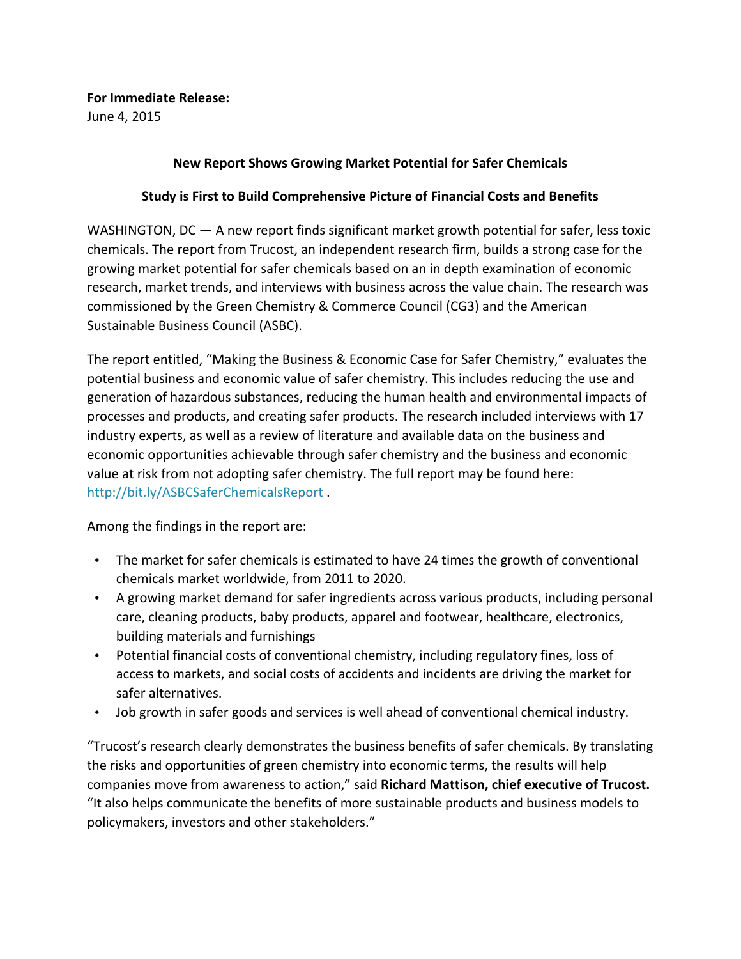**For Immediate Release:** June 4, 2015

## **New Report Shows Growing Market Potential for Safer Chemicals**

## **Study is First to Build Comprehensive Picture of Financial Costs and Benefits**

WASHINGTON, DC  $-$  A new report finds significant market growth potential for safer, less toxic chemicals. The report from Trucost, an independent research firm, builds a strong case for the growing market potential for safer chemicals based on an in depth examination of economic research, market trends, and interviews with business across the value chain. The research was commissioned by the Green Chemistry & Commerce Council (CG3) and the American Sustainable Business Council (ASBC).

The report entitled, "Making the Business & Economic Case for Safer Chemistry," evaluates the potential business and economic value of safer chemistry. This includes reducing the use and generation of hazardous substances, reducing the human health and environmental impacts of processes and products, and creating safer products. The research included interviews with 17 industry experts, as well as a review of literature and available data on the business and economic opportunities achievable through safer chemistry and the business and economic value at risk from not adopting safer chemistry. The full report may be found here: http://bit.ly/ASBCSaferChemicalsReport .

Among the findings in the report are:

- The market for safer chemicals is estimated to have 24 times the growth of conventional chemicals market worldwide, from 2011 to 2020.
- A growing market demand for safer ingredients across various products, including personal care, cleaning products, baby products, apparel and footwear, healthcare, electronics, building materials and furnishings
- Potential financial costs of conventional chemistry, including regulatory fines, loss of access to markets, and social costs of accidents and incidents are driving the market for safer alternatives.
- Job growth in safer goods and services is well ahead of conventional chemical industry.

"Trucost's research clearly demonstrates the business benefits of safer chemicals. By translating the risks and opportunities of green chemistry into economic terms, the results will help companies move from awareness to action," said **Richard Mattison, chief executive of Trucost.** "It also helps communicate the benefits of more sustainable products and business models to policymakers, investors and other stakeholders."